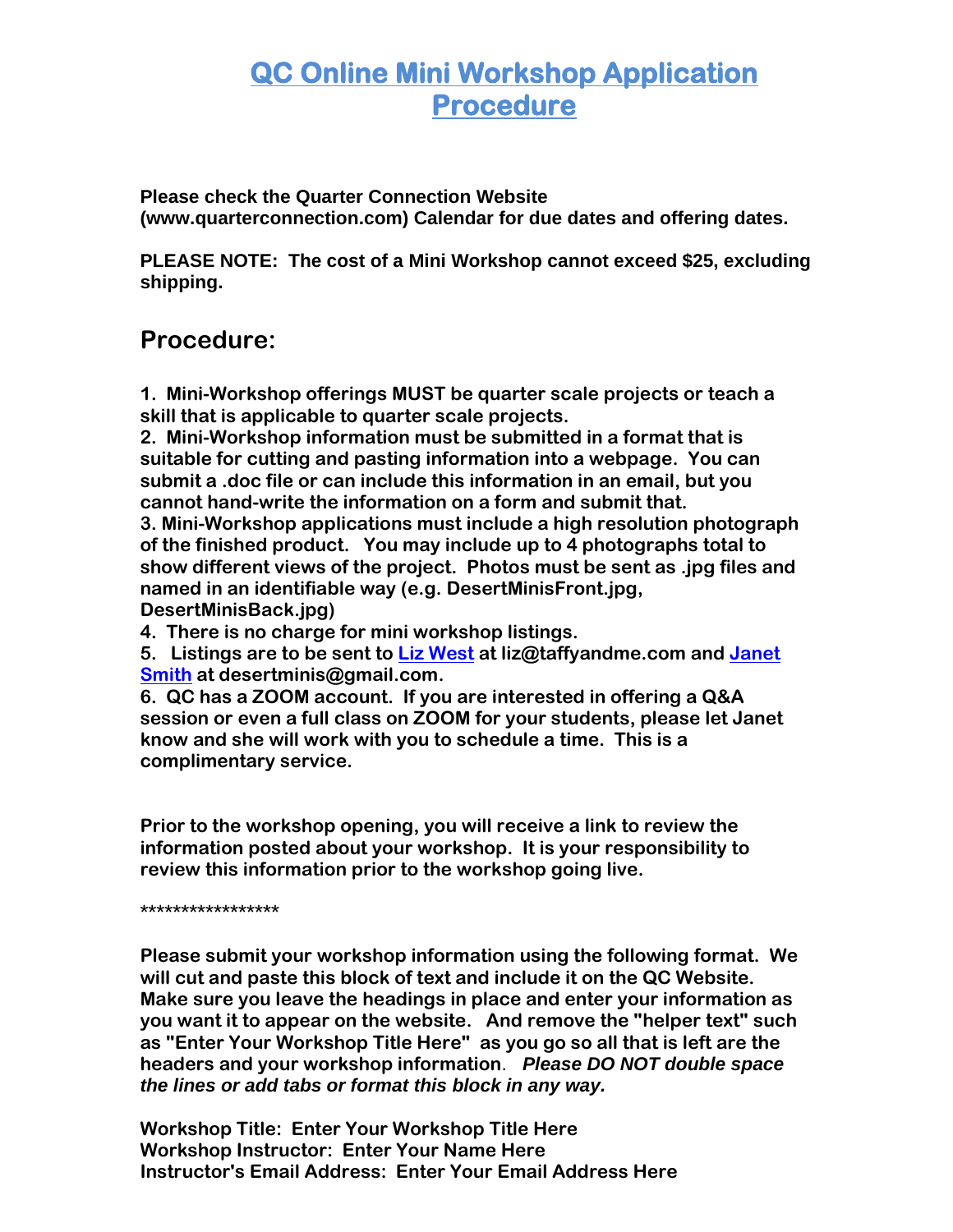## **QC Online Mini Workshop Application Procedure**

**Please check the Quarter Connection Website (www.quarterconnection.com) Calendar for due dates and offering dates.**

**PLEASE NOTE: The cost of a Mini Workshop cannot exceed \$25, excluding shipping.** 

## **Procedure:**

**1. Mini-Workshop offerings MUST be quarter scale projects or teach a skill that is applicable to quarter scale projects.**

**2. Mini-Workshop information must be submitted in a format that is suitable for cutting and pasting information into a webpage. You can submit a .doc file or can include this information in an email, but you cannot hand-write the information on a form and submit that.** 

**3. Mini-Workshop applications must include a high resolution photograph of the finished product. You may include up to 4 photographs total to show different views of the project. Photos must be sent as .jpg files and named in an identifiable way (e.g. DesertMinisFront.jpg, DesertMinisBack.jpg)**

**4. There is no charge for mini workshop listings.** 

**5. Listings are to be sent to [Liz West](mailto:liz@taffyandme.com?subject=QC%20Convention%20Workshop%20Application) at liz@taffyandme.com and [Janet](mailto:desertminis@gmail.com)  [Smith](mailto:desertminis@gmail.com) at desertminis@gmail.com.** 

**6. QC has a ZOOM account. If you are interested in offering a Q&A session or even a full class on ZOOM for your students, please let Janet know and she will work with you to schedule a time. This is a complimentary service.** 

**Prior to the workshop opening, you will receive a link to review the information posted about your workshop. It is your responsibility to review this information prior to the workshop going live.** 

**\*\*\*\*\*\*\*\*\*\*\*\*\*\*\*\*\***

**Please submit your workshop information using the following format. We will cut and paste this block of text and include it on the QC Website. Make sure you leave the headings in place and enter your information as you want it to appear on the website. And remove the "helper text" such as "Enter Your Workshop Title Here" as you go so all that is left are the headers and your workshop information**. *Please DO NOT double space the lines or add tabs or format this block in any way.*

**Workshop Title: Enter Your Workshop Title Here Workshop Instructor: Enter Your Name Here Instructor's Email Address: Enter Your Email Address Here**